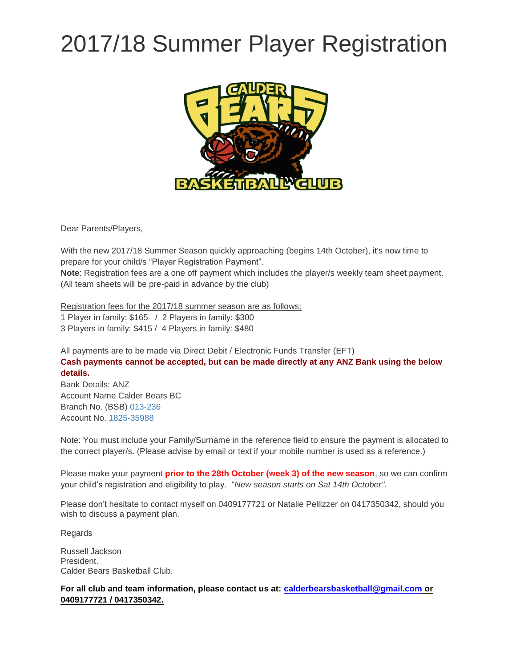## 2017/18 Summer Player Registration



Dear Parents/Players,

With the new 2017/18 Summer Season quickly approaching (begins 14th October), it's now time to prepare for your child/s "Player Registration Payment". **Note**: Registration fees are a one off payment which includes the player/s weekly team sheet payment.

(All team sheets will be pre-paid in advance by the club)

Registration fees for the 2017/18 summer season are as follows;

1 Player in family: \$165 / 2 Players in family: \$300

3 Players in family: \$415 / 4 Players in family: \$480

All payments are to be made via Direct Debit / Electronic Funds Transfer (EFT) **Cash payments cannot be accepted, but can be made directly at any ANZ Bank using the below details.**

Bank Details: ANZ Account Name Calder Bears BC Branch No. (BSB) [013-236](tel:013-236) Account No. [1825-35988](tel:1825-35988)

Note: You must include your Family/Surname in the reference field to ensure the payment is allocated to the correct player/s. (Please advise by email or text if your mobile number is used as a reference.)

Please make your payment **prior to the 28th October (week 3) of the new season**, so we can confirm your child's registration and eligibility to play. "*New season starts on Sat 14th October".*

Please don't hesitate to contact myself on 0409177721 or Natalie Pellizzer on 0417350342, should you wish to discuss a payment plan.

Regards

Russell Jackson President. Calder Bears Basketball Club.

**For all club and team information, please contact us at: [calderbearsbasketball@gmail.com](mailto:calderbearsbasketball@gmail.com) or 0409177721 / 0417350342.**